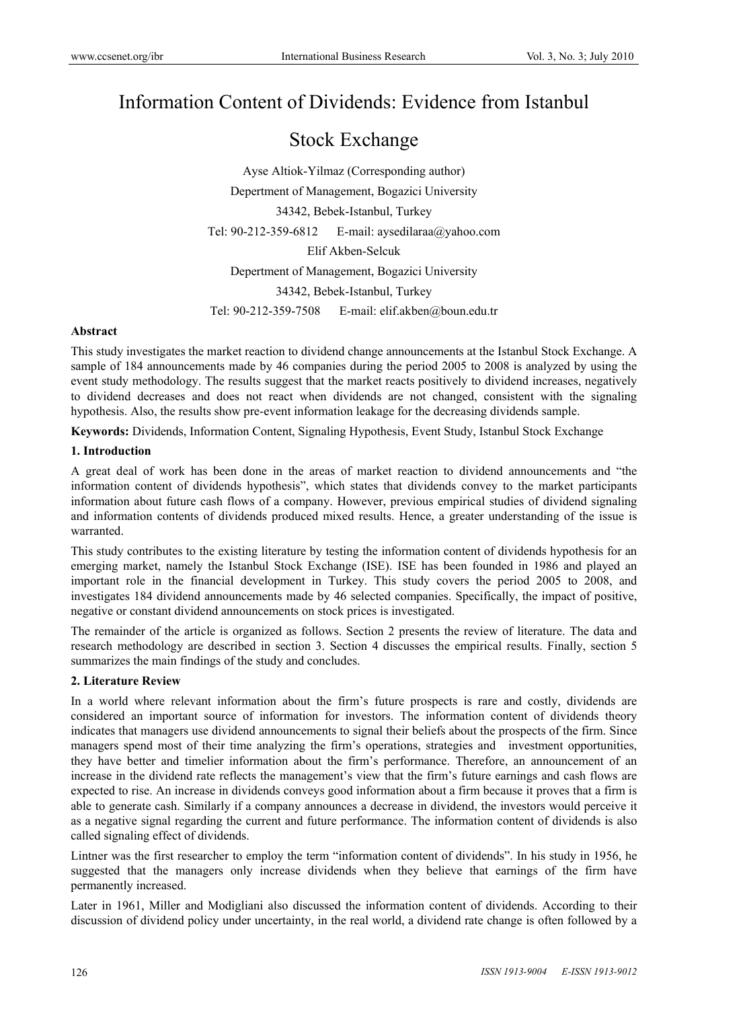# Information Content of Dividends: Evidence from Istanbul

## Stock Exchange

Ayse Altiok-Yilmaz (Corresponding author) Depertment of Management, Bogazici University 34342, Bebek-Istanbul, Turkey Tel: 90-212-359-6812 E-mail: aysedilaraa@yahoo.com Elif Akben-Selcuk Depertment of Management, Bogazici University 34342, Bebek-Istanbul, Turkey Tel: 90-212-359-7508 E-mail: elif.akben@boun.edu.tr

### **Abstract**

This study investigates the market reaction to dividend change announcements at the Istanbul Stock Exchange. A sample of 184 announcements made by 46 companies during the period 2005 to 2008 is analyzed by using the event study methodology. The results suggest that the market reacts positively to dividend increases, negatively to dividend decreases and does not react when dividends are not changed, consistent with the signaling hypothesis. Also, the results show pre-event information leakage for the decreasing dividends sample.

**Keywords:** Dividends, Information Content, Signaling Hypothesis, Event Study, Istanbul Stock Exchange

### **1. Introduction**

A great deal of work has been done in the areas of market reaction to dividend announcements and "the information content of dividends hypothesis", which states that dividends convey to the market participants information about future cash flows of a company. However, previous empirical studies of dividend signaling and information contents of dividends produced mixed results. Hence, a greater understanding of the issue is warranted.

This study contributes to the existing literature by testing the information content of dividends hypothesis for an emerging market, namely the Istanbul Stock Exchange (ISE). ISE has been founded in 1986 and played an important role in the financial development in Turkey. This study covers the period 2005 to 2008, and investigates 184 dividend announcements made by 46 selected companies. Specifically, the impact of positive, negative or constant dividend announcements on stock prices is investigated.

The remainder of the article is organized as follows. Section 2 presents the review of literature. The data and research methodology are described in section 3. Section 4 discusses the empirical results. Finally, section 5 summarizes the main findings of the study and concludes.

### **2. Literature Review**

In a world where relevant information about the firm's future prospects is rare and costly, dividends are considered an important source of information for investors. The information content of dividends theory indicates that managers use dividend announcements to signal their beliefs about the prospects of the firm. Since managers spend most of their time analyzing the firm's operations, strategies and investment opportunities, they have better and timelier information about the firm's performance. Therefore, an announcement of an increase in the dividend rate reflects the management's view that the firm's future earnings and cash flows are expected to rise. An increase in dividends conveys good information about a firm because it proves that a firm is able to generate cash. Similarly if a company announces a decrease in dividend, the investors would perceive it as a negative signal regarding the current and future performance. The information content of dividends is also called signaling effect of dividends.

Lintner was the first researcher to employ the term "information content of dividends". In his study in 1956, he suggested that the managers only increase dividends when they believe that earnings of the firm have permanently increased.

Later in 1961, Miller and Modigliani also discussed the information content of dividends. According to their discussion of dividend policy under uncertainty, in the real world, a dividend rate change is often followed by a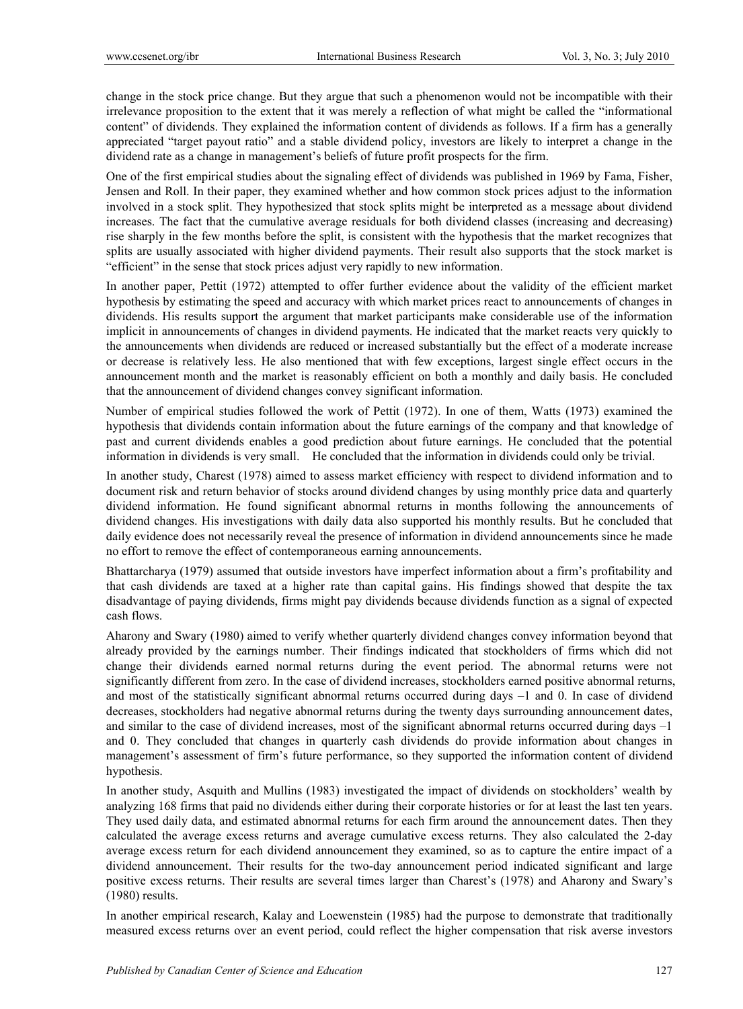change in the stock price change. But they argue that such a phenomenon would not be incompatible with their irrelevance proposition to the extent that it was merely a reflection of what might be called the "informational content" of dividends. They explained the information content of dividends as follows. If a firm has a generally appreciated "target payout ratio" and a stable dividend policy, investors are likely to interpret a change in the dividend rate as a change in management's beliefs of future profit prospects for the firm.

One of the first empirical studies about the signaling effect of dividends was published in 1969 by Fama, Fisher, Jensen and Roll. In their paper, they examined whether and how common stock prices adjust to the information involved in a stock split. They hypothesized that stock splits might be interpreted as a message about dividend increases. The fact that the cumulative average residuals for both dividend classes (increasing and decreasing) rise sharply in the few months before the split, is consistent with the hypothesis that the market recognizes that splits are usually associated with higher dividend payments. Their result also supports that the stock market is "efficient" in the sense that stock prices adjust very rapidly to new information.

In another paper, Pettit (1972) attempted to offer further evidence about the validity of the efficient market hypothesis by estimating the speed and accuracy with which market prices react to announcements of changes in dividends. His results support the argument that market participants make considerable use of the information implicit in announcements of changes in dividend payments. He indicated that the market reacts very quickly to the announcements when dividends are reduced or increased substantially but the effect of a moderate increase or decrease is relatively less. He also mentioned that with few exceptions, largest single effect occurs in the announcement month and the market is reasonably efficient on both a monthly and daily basis. He concluded that the announcement of dividend changes convey significant information.

Number of empirical studies followed the work of Pettit (1972). In one of them, Watts (1973) examined the hypothesis that dividends contain information about the future earnings of the company and that knowledge of past and current dividends enables a good prediction about future earnings. He concluded that the potential information in dividends is very small. He concluded that the information in dividends could only be trivial.

In another study, Charest (1978) aimed to assess market efficiency with respect to dividend information and to document risk and return behavior of stocks around dividend changes by using monthly price data and quarterly dividend information. He found significant abnormal returns in months following the announcements of dividend changes. His investigations with daily data also supported his monthly results. But he concluded that daily evidence does not necessarily reveal the presence of information in dividend announcements since he made no effort to remove the effect of contemporaneous earning announcements.

Bhattarcharya (1979) assumed that outside investors have imperfect information about a firm's profitability and that cash dividends are taxed at a higher rate than capital gains. His findings showed that despite the tax disadvantage of paying dividends, firms might pay dividends because dividends function as a signal of expected cash flows.

Aharony and Swary (1980) aimed to verify whether quarterly dividend changes convey information beyond that already provided by the earnings number. Their findings indicated that stockholders of firms which did not change their dividends earned normal returns during the event period. The abnormal returns were not significantly different from zero. In the case of dividend increases, stockholders earned positive abnormal returns, and most of the statistically significant abnormal returns occurred during days –1 and 0. In case of dividend decreases, stockholders had negative abnormal returns during the twenty days surrounding announcement dates, and similar to the case of dividend increases, most of the significant abnormal returns occurred during days –1 and 0. They concluded that changes in quarterly cash dividends do provide information about changes in management's assessment of firm's future performance, so they supported the information content of dividend hypothesis.

In another study, Asquith and Mullins (1983) investigated the impact of dividends on stockholders' wealth by analyzing 168 firms that paid no dividends either during their corporate histories or for at least the last ten years. They used daily data, and estimated abnormal returns for each firm around the announcement dates. Then they calculated the average excess returns and average cumulative excess returns. They also calculated the 2-day average excess return for each dividend announcement they examined, so as to capture the entire impact of a dividend announcement. Their results for the two-day announcement period indicated significant and large positive excess returns. Their results are several times larger than Charest's (1978) and Aharony and Swary's (1980) results.

In another empirical research, Kalay and Loewenstein (1985) had the purpose to demonstrate that traditionally measured excess returns over an event period, could reflect the higher compensation that risk averse investors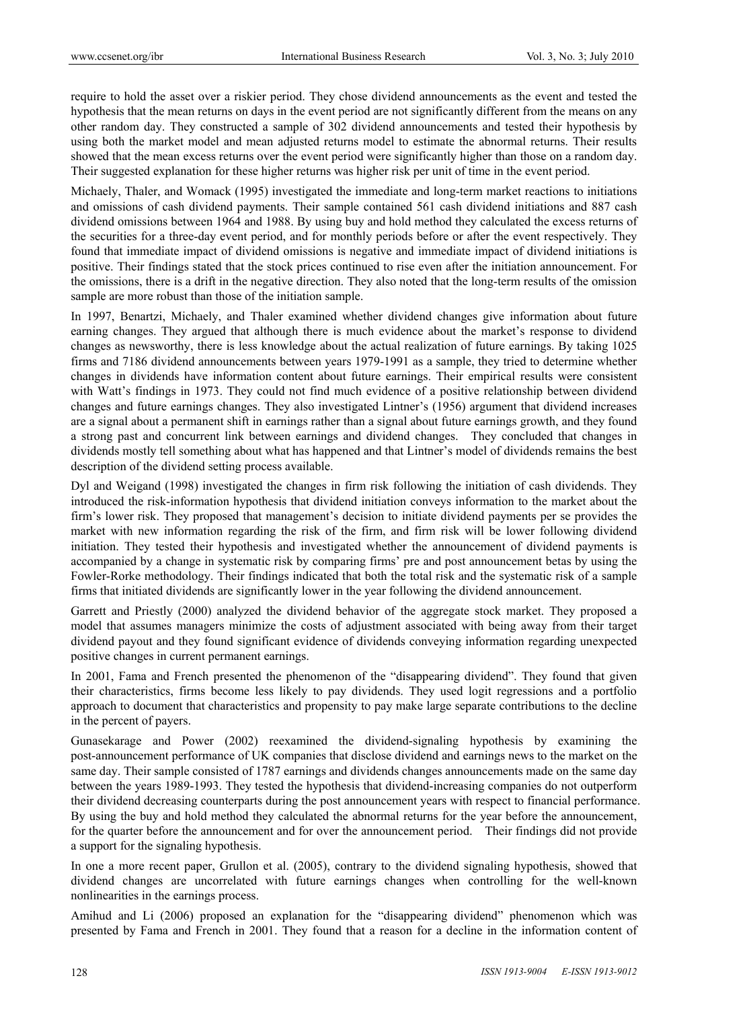require to hold the asset over a riskier period. They chose dividend announcements as the event and tested the hypothesis that the mean returns on days in the event period are not significantly different from the means on any other random day. They constructed a sample of 302 dividend announcements and tested their hypothesis by using both the market model and mean adjusted returns model to estimate the abnormal returns. Their results showed that the mean excess returns over the event period were significantly higher than those on a random day. Their suggested explanation for these higher returns was higher risk per unit of time in the event period.

Michaely, Thaler, and Womack (1995) investigated the immediate and long-term market reactions to initiations and omissions of cash dividend payments. Their sample contained 561 cash dividend initiations and 887 cash dividend omissions between 1964 and 1988. By using buy and hold method they calculated the excess returns of the securities for a three-day event period, and for monthly periods before or after the event respectively. They found that immediate impact of dividend omissions is negative and immediate impact of dividend initiations is positive. Their findings stated that the stock prices continued to rise even after the initiation announcement. For the omissions, there is a drift in the negative direction. They also noted that the long-term results of the omission sample are more robust than those of the initiation sample.

In 1997, Benartzi, Michaely, and Thaler examined whether dividend changes give information about future earning changes. They argued that although there is much evidence about the market's response to dividend changes as newsworthy, there is less knowledge about the actual realization of future earnings. By taking 1025 firms and 7186 dividend announcements between years 1979-1991 as a sample, they tried to determine whether changes in dividends have information content about future earnings. Their empirical results were consistent with Watt's findings in 1973. They could not find much evidence of a positive relationship between dividend changes and future earnings changes. They also investigated Lintner's (1956) argument that dividend increases are a signal about a permanent shift in earnings rather than a signal about future earnings growth, and they found a strong past and concurrent link between earnings and dividend changes. They concluded that changes in dividends mostly tell something about what has happened and that Lintner's model of dividends remains the best description of the dividend setting process available.

Dyl and Weigand (1998) investigated the changes in firm risk following the initiation of cash dividends. They introduced the risk-information hypothesis that dividend initiation conveys information to the market about the firm's lower risk. They proposed that management's decision to initiate dividend payments per se provides the market with new information regarding the risk of the firm, and firm risk will be lower following dividend initiation. They tested their hypothesis and investigated whether the announcement of dividend payments is accompanied by a change in systematic risk by comparing firms' pre and post announcement betas by using the Fowler-Rorke methodology. Their findings indicated that both the total risk and the systematic risk of a sample firms that initiated dividends are significantly lower in the year following the dividend announcement.

Garrett and Priestly (2000) analyzed the dividend behavior of the aggregate stock market. They proposed a model that assumes managers minimize the costs of adjustment associated with being away from their target dividend payout and they found significant evidence of dividends conveying information regarding unexpected positive changes in current permanent earnings.

In 2001, Fama and French presented the phenomenon of the "disappearing dividend". They found that given their characteristics, firms become less likely to pay dividends. They used logit regressions and a portfolio approach to document that characteristics and propensity to pay make large separate contributions to the decline in the percent of payers.

Gunasekarage and Power (2002) reexamined the dividend-signaling hypothesis by examining the post-announcement performance of UK companies that disclose dividend and earnings news to the market on the same day. Their sample consisted of 1787 earnings and dividends changes announcements made on the same day between the years 1989-1993. They tested the hypothesis that dividend-increasing companies do not outperform their dividend decreasing counterparts during the post announcement years with respect to financial performance. By using the buy and hold method they calculated the abnormal returns for the year before the announcement, for the quarter before the announcement and for over the announcement period. Their findings did not provide a support for the signaling hypothesis.

In one a more recent paper, Grullon et al. (2005), contrary to the dividend signaling hypothesis, showed that dividend changes are uncorrelated with future earnings changes when controlling for the well-known nonlinearities in the earnings process.

Amihud and Li (2006) proposed an explanation for the "disappearing dividend" phenomenon which was presented by Fama and French in 2001. They found that a reason for a decline in the information content of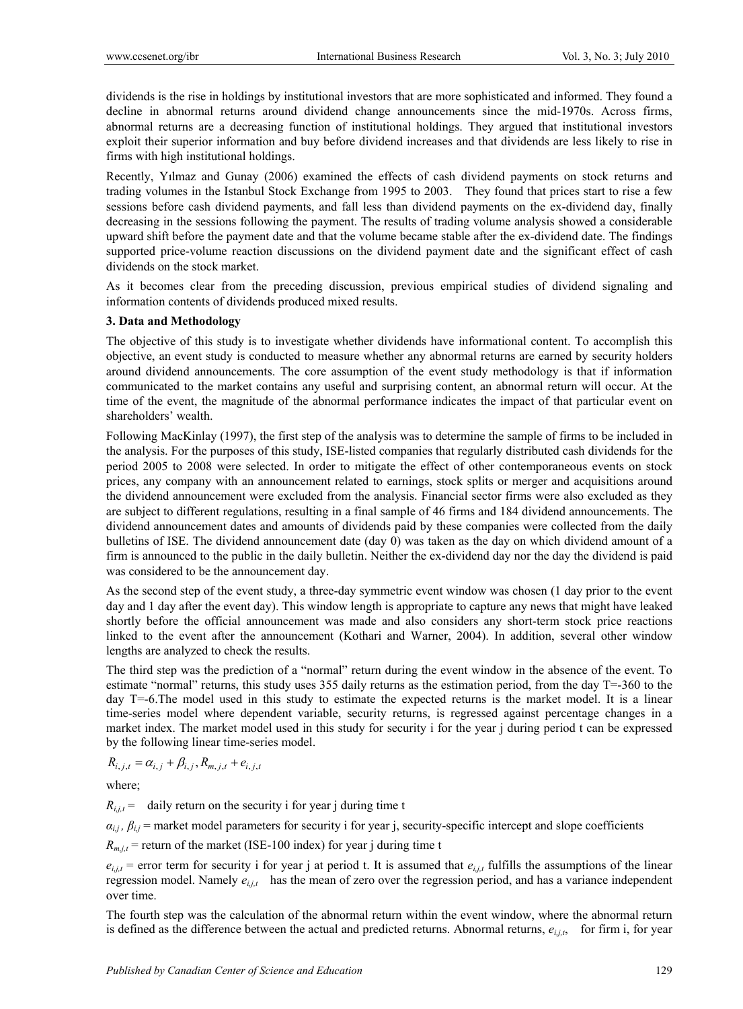dividends is the rise in holdings by institutional investors that are more sophisticated and informed. They found a decline in abnormal returns around dividend change announcements since the mid-1970s. Across firms, abnormal returns are a decreasing function of institutional holdings. They argued that institutional investors exploit their superior information and buy before dividend increases and that dividends are less likely to rise in firms with high institutional holdings.

Recently, Yılmaz and Gunay (2006) examined the effects of cash dividend payments on stock returns and trading volumes in the Istanbul Stock Exchange from 1995 to 2003. They found that prices start to rise a few sessions before cash dividend payments, and fall less than dividend payments on the ex-dividend day, finally decreasing in the sessions following the payment. The results of trading volume analysis showed a considerable upward shift before the payment date and that the volume became stable after the ex-dividend date. The findings supported price-volume reaction discussions on the dividend payment date and the significant effect of cash dividends on the stock market.

As it becomes clear from the preceding discussion, previous empirical studies of dividend signaling and information contents of dividends produced mixed results.

### **3. Data and Methodology**

The objective of this study is to investigate whether dividends have informational content. To accomplish this objective, an event study is conducted to measure whether any abnormal returns are earned by security holders around dividend announcements. The core assumption of the event study methodology is that if information communicated to the market contains any useful and surprising content, an abnormal return will occur. At the time of the event, the magnitude of the abnormal performance indicates the impact of that particular event on shareholders' wealth.

Following MacKinlay (1997), the first step of the analysis was to determine the sample of firms to be included in the analysis. For the purposes of this study, ISE-listed companies that regularly distributed cash dividends for the period 2005 to 2008 were selected. In order to mitigate the effect of other contemporaneous events on stock prices, any company with an announcement related to earnings, stock splits or merger and acquisitions around the dividend announcement were excluded from the analysis. Financial sector firms were also excluded as they are subject to different regulations, resulting in a final sample of 46 firms and 184 dividend announcements. The dividend announcement dates and amounts of dividends paid by these companies were collected from the daily bulletins of ISE. The dividend announcement date (day 0) was taken as the day on which dividend amount of a firm is announced to the public in the daily bulletin. Neither the ex-dividend day nor the day the dividend is paid was considered to be the announcement day.

As the second step of the event study, a three-day symmetric event window was chosen (1 day prior to the event day and 1 day after the event day). This window length is appropriate to capture any news that might have leaked shortly before the official announcement was made and also considers any short-term stock price reactions linked to the event after the announcement (Kothari and Warner, 2004). In addition, several other window lengths are analyzed to check the results.

The third step was the prediction of a "normal" return during the event window in the absence of the event. To estimate "normal" returns, this study uses 355 daily returns as the estimation period, from the day T=-360 to the day T=-6.The model used in this study to estimate the expected returns is the market model. It is a linear time-series model where dependent variable, security returns, is regressed against percentage changes in a market index. The market model used in this study for security i for the year j during period t can be expressed by the following linear time-series model.

$$
R_{i,j,t} = \alpha_{i,j} + \beta_{i,j}, R_{m,j,t} + e_{i,j,t}
$$

where;

 $R_{i,i,t}$  = daily return on the security i for year j during time t

 $a_{i,j}$ ,  $\beta_{i,j}$  = market model parameters for security i for year j, security-specific intercept and slope coefficients

 $R_{m,i,t}$  = return of the market (ISE-100 index) for year j during time t

 $e_{i,j,t}$  = error term for security i for year j at period t. It is assumed that  $e_{i,j,t}$  fulfills the assumptions of the linear regression model. Namely *ei,j,t* has the mean of zero over the regression period, and has a variance independent over time.

The fourth step was the calculation of the abnormal return within the event window, where the abnormal return is defined as the difference between the actual and predicted returns. Abnormal returns,  $e_{i,j}$ , for firm i, for year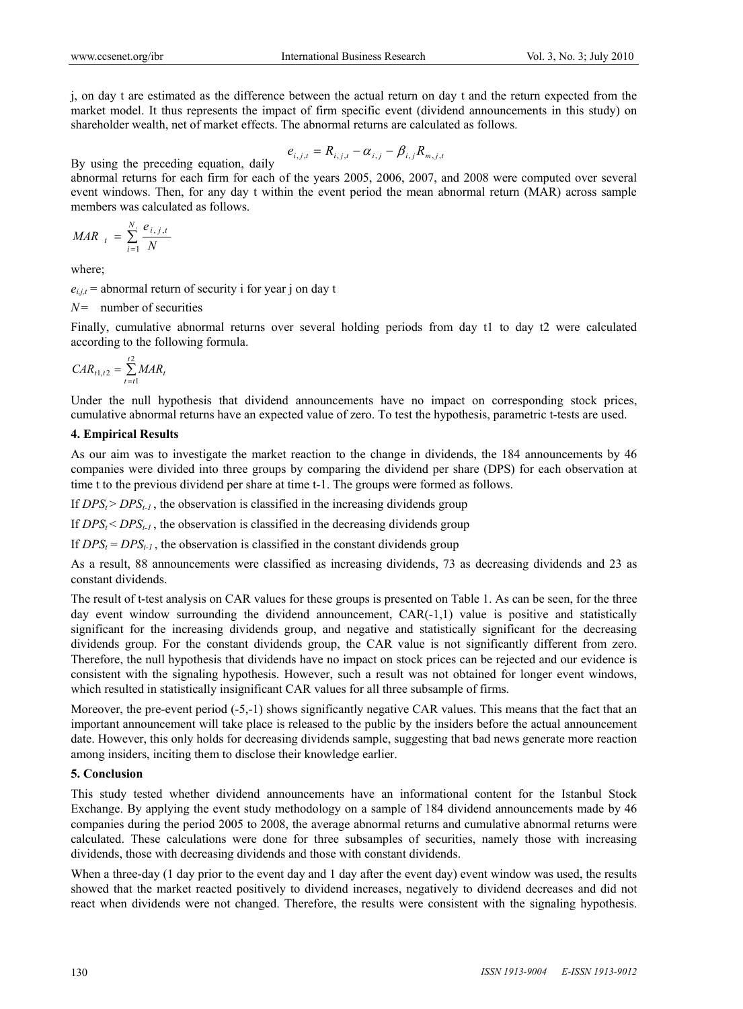j, on day t are estimated as the difference between the actual return on day t and the return expected from the market model. It thus represents the impact of firm specific event (dividend announcements in this study) on shareholder wealth, net of market effects. The abnormal returns are calculated as follows.

$$
e_{i,j,t} = R_{i,j,t} - \alpha_{i,j} - \beta_{i,j} R_{m,j,t}
$$

By using the preceding equation, daily

abnormal returns for each firm for each of the years 2005, 2006, 2007, and 2008 were computed over several event windows. Then, for any day t within the event period the mean abnormal return (MAR) across sample members was calculated as follows.

$$
MAR_{t} = \sum_{i=1}^{N_{t}} \frac{e_{i,j,t}}{N}
$$

where;

 $e_{i,j,t}$  = abnormal return of security i for year j on day t

*N*= number of securities

Finally, cumulative abnormal returns over several holding periods from day t1 to day t2 were calculated according to the following formula.

$$
CAR_{t1,t2} = \sum_{t=t1}^{t2} MAR_t
$$

Under the null hypothesis that dividend announcements have no impact on corresponding stock prices, cumulative abnormal returns have an expected value of zero. To test the hypothesis, parametric t-tests are used.

### **4. Empirical Results**

As our aim was to investigate the market reaction to the change in dividends, the 184 announcements by 46 companies were divided into three groups by comparing the dividend per share (DPS) for each observation at time t to the previous dividend per share at time t-1. The groups were formed as follows.

If  $DPS_t > DPS_{t-1}$ , the observation is classified in the increasing dividends group

If  $DPS_t < DPS_{t-1}$ , the observation is classified in the decreasing dividends group

If  $DPS<sub>t</sub> = DPS<sub>t-1</sub>$ , the observation is classified in the constant dividends group

As a result, 88 announcements were classified as increasing dividends, 73 as decreasing dividends and 23 as constant dividends.

The result of t-test analysis on CAR values for these groups is presented on Table 1. As can be seen, for the three day event window surrounding the dividend announcement, CAR(-1,1) value is positive and statistically significant for the increasing dividends group, and negative and statistically significant for the decreasing dividends group. For the constant dividends group, the CAR value is not significantly different from zero. Therefore, the null hypothesis that dividends have no impact on stock prices can be rejected and our evidence is consistent with the signaling hypothesis. However, such a result was not obtained for longer event windows, which resulted in statistically insignificant CAR values for all three subsample of firms.

Moreover, the pre-event period (-5,-1) shows significantly negative CAR values. This means that the fact that an important announcement will take place is released to the public by the insiders before the actual announcement date. However, this only holds for decreasing dividends sample, suggesting that bad news generate more reaction among insiders, inciting them to disclose their knowledge earlier.

### **5. Conclusion**

This study tested whether dividend announcements have an informational content for the Istanbul Stock Exchange. By applying the event study methodology on a sample of 184 dividend announcements made by 46 companies during the period 2005 to 2008, the average abnormal returns and cumulative abnormal returns were calculated. These calculations were done for three subsamples of securities, namely those with increasing dividends, those with decreasing dividends and those with constant dividends.

When a three-day (1 day prior to the event day and 1 day after the event day) event window was used, the results showed that the market reacted positively to dividend increases, negatively to dividend decreases and did not react when dividends were not changed. Therefore, the results were consistent with the signaling hypothesis.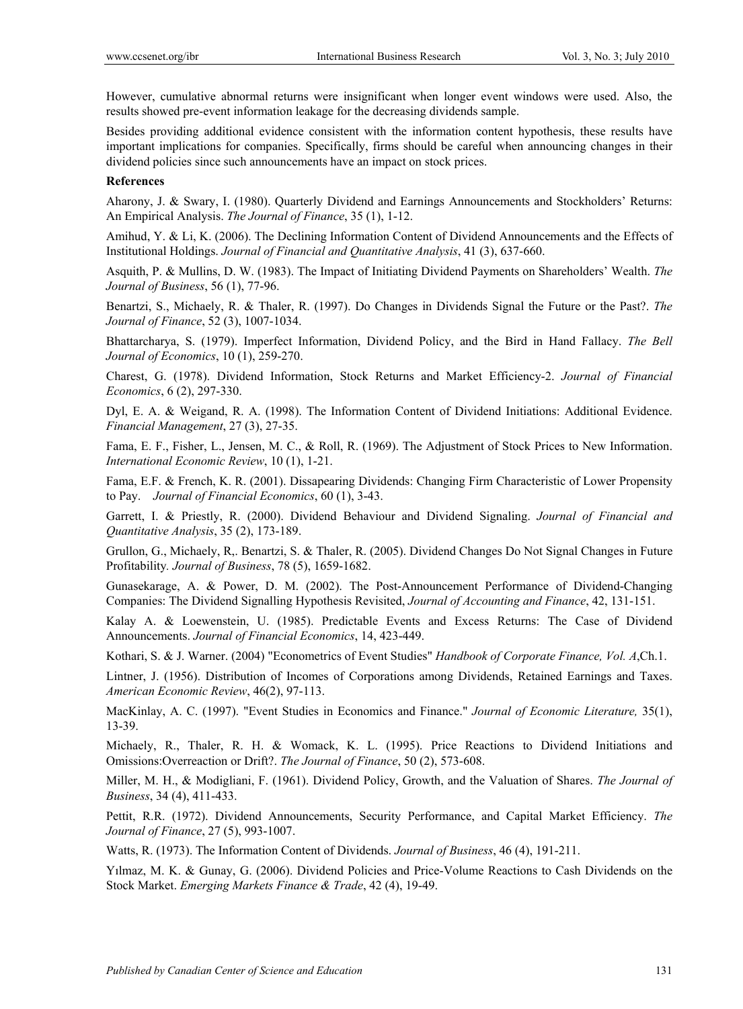However, cumulative abnormal returns were insignificant when longer event windows were used. Also, the results showed pre-event information leakage for the decreasing dividends sample.

Besides providing additional evidence consistent with the information content hypothesis, these results have important implications for companies. Specifically, firms should be careful when announcing changes in their dividend policies since such announcements have an impact on stock prices.

#### **References**

Aharony, J. & Swary, I. (1980). Quarterly Dividend and Earnings Announcements and Stockholders' Returns: An Empirical Analysis. *The Journal of Finance*, 35 (1), 1-12.

Amihud, Y. & Li, K. (2006). The Declining Information Content of Dividend Announcements and the Effects of Institutional Holdings. *Journal of Financial and Quantitative Analysis*, 41 (3), 637-660.

Asquith, P. & Mullins, D. W. (1983). The Impact of Initiating Dividend Payments on Shareholders' Wealth. *The Journal of Business*, 56 (1), 77-96.

Benartzi, S., Michaely, R. & Thaler, R. (1997). Do Changes in Dividends Signal the Future or the Past?. *The Journal of Finance*, 52 (3), 1007-1034.

Bhattarcharya, S. (1979). Imperfect Information, Dividend Policy, and the Bird in Hand Fallacy. *The Bell Journal of Economics*, 10 (1), 259-270.

Charest, G. (1978). Dividend Information, Stock Returns and Market Efficiency-2. *Journal of Financial Economics*, 6 (2), 297-330.

Dyl, E. A. & Weigand, R. A. (1998). The Information Content of Dividend Initiations: Additional Evidence. *Financial Management*, 27 (3), 27-35.

Fama, E. F., Fisher, L., Jensen, M. C., & Roll, R. (1969). The Adjustment of Stock Prices to New Information. *International Economic Review*, 10 (1), 1-21.

Fama, E.F. & French, K. R. (2001). Dissapearing Dividends: Changing Firm Characteristic of Lower Propensity to Pay. *Journal of Financial Economics*, 60 (1), 3-43.

Garrett, I. & Priestly, R. (2000). Dividend Behaviour and Dividend Signaling. *Journal of Financial and Quantitative Analysis*, 35 (2), 173-189.

Grullon, G., Michaely, R,. Benartzi, S. & Thaler, R. (2005). Dividend Changes Do Not Signal Changes in Future Profitability*. Journal of Business*, 78 (5), 1659-1682.

Gunasekarage, A. & Power, D. M. (2002). The Post-Announcement Performance of Dividend-Changing Companies: The Dividend Signalling Hypothesis Revisited, *Journal of Accounting and Finance*, 42, 131-151.

Kalay A. & Loewenstein, U. (1985). Predictable Events and Excess Returns: The Case of Dividend Announcements. *Journal of Financial Economics*, 14, 423-449.

Kothari, S. & J. Warner. (2004) "Econometrics of Event Studies" *Handbook of Corporate Finance, Vol. A*,Ch.1.

Lintner, J. (1956). Distribution of Incomes of Corporations among Dividends, Retained Earnings and Taxes. *American Economic Review*, 46(2), 97-113.

MacKinlay, A. C. (1997). "Event Studies in Economics and Finance." *Journal of Economic Literature,* 35(1), 13-39.

Michaely, R., Thaler, R. H. & Womack, K. L. (1995). Price Reactions to Dividend Initiations and Omissions:Overreaction or Drift?. *The Journal of Finance*, 50 (2), 573-608.

Miller, M. H., & Modigliani, F. (1961). Dividend Policy, Growth, and the Valuation of Shares. *The Journal of Business*, 34 (4), 411-433.

Pettit, R.R. (1972). Dividend Announcements, Security Performance, and Capital Market Efficiency. *The Journal of Finance*, 27 (5), 993-1007.

Watts, R. (1973). The Information Content of Dividends. *Journal of Business*, 46 (4), 191-211.

Yılmaz, M. K. & Gunay, G. (2006). Dividend Policies and Price-Volume Reactions to Cash Dividends on the Stock Market. *Emerging Markets Finance & Trade*, 42 (4), 19-49.